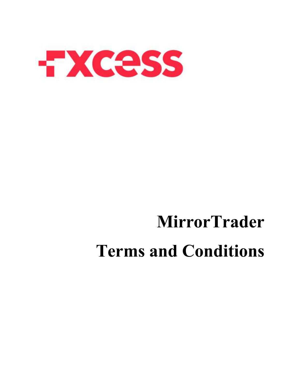

# **MirrorTrader Terms and Conditions**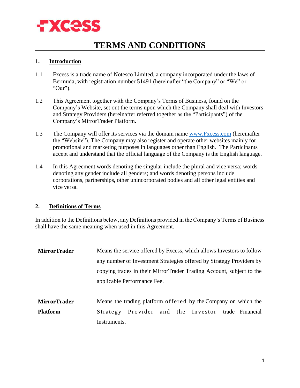

# **TERMS AND CONDITIONS**

#### **1. Introduction**

- 1.1 Fxcess is a trade name of Notesco Limited, a company incorporated under the laws of Bermuda, with registration number 51491 (hereinafter "the Company" or "We" or "Our").
- 1.2 This Agreement together with the Company's Terms of Business, found on the Company's Website, set out the terms upon which the Company shall deal with Investors and Strategy Providers (hereinafter referred together as the "Participants") of the Company's MirrorTrader Platform.
- 1.3 The Company will offer its services via the domain name [www.Fxcess.com](https://www.fxcess.com/) (hereinafter the "Website"). The Company may also register and operate other websites mainly for promotional and marketing purposes in languages other than English. The Participants accept and understand that the official language of the Company is the English language.
- 1.4 In this Agreement words denoting the singular include the plural and vice versa; words denoting any gender include all genders; and words denoting persons include corporations, partnerships, other unincorporated bodies and all other legal entities and vice versa.

#### **2. Definitions of Terms**

In addition to the Definitions below, any Definitions provided in the Company's Terms of Business shall have the same meaning when used in this Agreement.

- **MirrorTrader** Means the service offered by Fxcess, which allows Investors to follow any number of Investment Strategies offered by Strategy Providers by copying trades in their MirrorTrader Trading Account, subject to the applicable Performance Fee. **MirrorTrader** Means the trading platform offered by the Company on which the
- **Platform** Strategy Provider and the Investor trade Financial Instruments.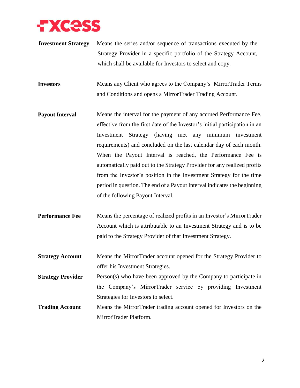

**Investment Strategy** Means the series and/or sequence of transactions executed by the Strategy Provider in a specific portfolio of the Strategy Account, which shall be available for Investors to select and copy.

**Investors** Means any Client who agrees to the Company's MirrorTrader Terms and Conditions and opens a MirrorTrader Trading Account.

- **Payout Interval** Means the interval for the payment of any accrued Performance Fee, effective from the first date of the Investor's initial participation in an Investment Strategy (having met any minimum investment requirements) and concluded on the last calendar day of each month. When the Payout Interval is reached, the Performance Fee is automatically paid out to the Strategy Provider for any realized profits from the Investor's position in the Investment Strategy for the time period in question. The end of a Payout Interval indicates the beginning of the following Payout Interval.
- **Performance Fee** Means the percentage of realized profits in an Investor's MirrorTrader Account which is attributable to an Investment Strategy and is to be paid to the Strategy Provider of that Investment Strategy.
- **Strategy Account** Means the MirrorTrader account opened for the Strategy Provider to offer his Investment Strategies.
- **Strategy Provider** Person(s) who have been approved by the Company to participate in the Company's MirrorTrader service by providing Investment Strategies for Investors to select.
- **Trading Account** Means the MirrorTrader trading account opened for Investors on the MirrorTrader Platform.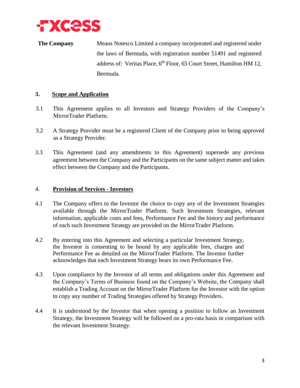

**The Company** Means Notesco Limited a company incorporated and registered under the laws of Bermuda, with registration number 51491 and registered address of: Veritas Place, 6<sup>th</sup> Floor, 65 Court Street, Hamilton HM 12, Bermuda.

# **3. Scope and Application**

- 3.1 This Agreement applies to all Investors and Strategy Providers of the Company's MirrorTrader Platform.
- 3.2 A Strategy Provider must be a registered Client of the Company prior to being approved as a Strategy Provider.
- 3.3 This Agreement (and any amendments to this Agreement) supersede any previous agreement between the Company and the Participants on the same subject matter and takes effect between the Company and the Participants.

#### 4. **Provision of Services - Investors**

- 4.1 The Company offers to the Investor the choice to copy any of the Investment Strategies available through the MirrorTrader Platform. Such Investment Strategies, relevant information, applicable costs and fees, Performance Fee and the history and performance of each such Investment Strategy are provided on the MirrorTrader Platform.
- 4.2 By entering into this Agreement and selecting a particular Investment Strategy, the Investor is consenting to be bound by any applicable fees, charges and Performance Fee as detailed on the MirrorTrader Platform. The Investor further acknowledges that each Investment Strategy bears its own Performance Fee.
- 4.3 Upon compliance by the Investor of all terms and obligations under this Agreement and the Company's Terms of Business found on the Company's Website, the Company shall establish a Trading Account on the MirrorTrader Platform for the Investor with the option to copy any number of Trading Strategies offered by Strategy Providers.
- 4.4 It is understood by the Investor that when opening a position to follow an Investment Strategy, the Investment Strategy will be followed on a pro-rata basis in comparison with the relevant Investment Strategy.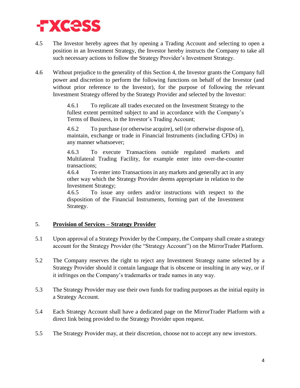

- 4.5 The Investor hereby agrees that by opening a Trading Account and selecting to open a position in an Investment Strategy, the Investor hereby instructs the Company to take all such necessary actions to follow the Strategy Provider's Investment Strategy.
- 4.6 Without prejudice to the generality of this Section 4, the Investor grants the Company full power and discretion to perform the following functions on behalf of the Investor (and without prior reference to the Investor), for the purpose of following the relevant Investment Strategy offered by the Strategy Provider and selected by the Investor:

4.6.1 To replicate all trades executed on the Investment Strategy to the fullest extent permitted subject to and in accordance with the Company's Terms of Business, in the Investor's Trading Account;

4.6.2 To purchase (or otherwise acquire), sell (or otherwise dispose of), maintain, exchange or trade in Financial Instruments (including CFDs) in any manner whatsoever;

4.6.3 To execute Transactions outside regulated markets and Multilateral Trading Facility, for example enter into over-the-counter transactions;

4.6.4 To enter into Transactions in any markets and generally act in any other way which the Strategy Provider deems appropriate in relation to the Investment Strategy;

4.6.5 To issue any orders and/or instructions with respect to the disposition of the Financial Instruments, forming part of the Investment Strategy.

# 5. **Provision of Services – Strategy Provider**

- 5.1 Upon approval of a Strategy Provider by the Company, the Company shall create a strategy account for the Strategy Provider (the "Strategy Account") on the MirrorTrader Platform.
- 5.2 The Company reserves the right to reject any Investment Strategy name selected by a Strategy Provider should it contain language that is obscene or insulting in any way, or if it infringes on the Company's trademarks or trade names in any way.
- 5.3 The Strategy Provider may use their own funds for trading purposes as the initial equity in a Strategy Account.
- 5.4 Each Strategy Account shall have a dedicated page on the MirrorTrader Platform with a direct link being provided to the Strategy Provider upon request.
- 5.5 The Strategy Provider may, at their discretion, choose not to accept any new investors.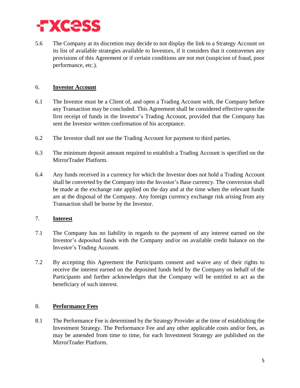

5.6 The Company at its discretion may decide to not display the link to a Strategy Account on its list of available strategies available to Investors, if it considers that it contravenes any provisions of this Agreement or if certain conditions are not met (suspicion of fraud, poor performance, etc.).

# 6. **Investor Account**

- 6.1 The Investor must be a Client of, and open a Trading Account with, the Company before any Transaction may be concluded. This Agreement shall be considered effective upon the first receipt of funds in the Investor's Trading Account, provided that the Company has sent the Investor written confirmation of his acceptance.
- 6.2 The Investor shall not use the Trading Account for payment to third parties.
- 6.3 The minimum deposit amount required to establish a Trading Account is specified on the MirrorTrader Platform.
- 6.4 Any funds received in a currency for which the Investor does not hold a Trading Account shall be converted by the Company into the Investor's Base currency. The conversion shall be made at the exchange rate applied on the day and at the time when the relevant funds are at the disposal of the Company. Any foreign currency exchange risk arising from any Transaction shall be borne by the Investor.

#### 7. **Interest**

- 7.1 The Company has no liability in regards to the payment of any interest earned on the Investor's deposited funds with the Company and/or on available credit balance on the Investor's Trading Account.
- 7.2 By accepting this Agreement the Participants consent and waive any of their rights to receive the interest earned on the deposited funds held by the Company on behalf of the Participants and further acknowledges that the Company will be entitled to act as the beneficiary of such interest.

#### 8. **Performance Fees**

8.1 The Performance Fee is determined by the Strategy Provider at the time of establishing the Investment Strategy. The Performance Fee and any other applicable costs and/or fees, as may be amended from time to time, for each Investment Strategy are published on the MirrorTrader Platform.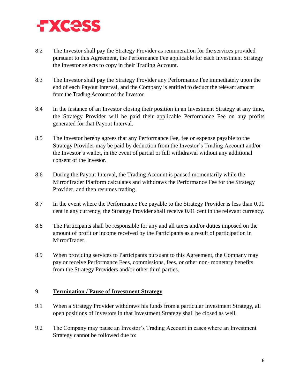

- 8.2 The Investor shall pay the Strategy Provider as remuneration for the services provided pursuant to this Agreement, the Performance Fee applicable for each Investment Strategy the Investor selects to copy in their Trading Account.
- 8.3 The Investor shall pay the Strategy Provider any Performance Fee immediately upon the end of each Payout Interval, and the Company is entitled to deduct the relevant amount from the Trading Account of the Investor.
- 8.4 In the instance of an Investor closing their position in an Investment Strategy at any time, the Strategy Provider will be paid their applicable Performance Fee on any profits generated for that Payout Interval.
- 8.5 The Investor hereby agrees that any Performance Fee, fee or expense payable to the Strategy Provider may be paid by deduction from the Investor's Trading Account and/or the Investor's wallet, in the event of partial or full withdrawal without any additional consent of the Investor.
- 8.6 During the Payout Interval, the Trading Account is paused momentarily while the MirrorTrader Platform calculates and withdraws the Performance Fee for the Strategy Provider, and then resumes trading.
- 8.7 In the event where the Performance Fee payable to the Strategy Provider is less than 0.01 cent in any currency, the Strategy Provider shall receive 0.01 cent in the relevant currency.
- 8.8 The Participants shall be responsible for any and all taxes and/or duties imposed on the amount of profit or income received by the Participants as a result of participation in MirrorTrader.
- 8.9 When providing services to Participants pursuant to this Agreement, the Company may pay or receive Performance Fees, commissions, fees, or other non- monetary benefits from the Strategy Providers and/or other third parties.

#### 9. **Termination / Pause of Investment Strategy**

- 9.1 When a Strategy Provider withdraws his funds from a particular Investment Strategy, all open positions of Investors in that Investment Strategy shall be closed as well.
- 9.2 The Company may pause an Investor's Trading Account in cases where an Investment Strategy cannot be followed due to: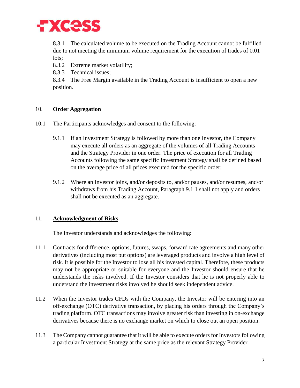

8.3.1 The calculated volume to be executed on the Trading Account cannot be fulfilled due to not meeting the minimum volume requirement for the execution of trades of 0.01 lots:

8.3.2 Extreme market volatility;

8.3.3 Technical issues;

8.3.4 The Free Margin available in the Trading Account is insufficient to open a new position.

# 10. **Order Aggregation**

- 10.1 The Participants acknowledges and consent to the following:
	- 9.1.1 If an Investment Strategy is followed by more than one Investor, the Company may execute all orders as an aggregate of the volumes of all Trading Accounts and the Strategy Provider in one order. The price of execution for all Trading Accounts following the same specific Investment Strategy shall be defined based on the average price of all prices executed for the specific order;
	- 9.1.2 Where an Investor joins, and/or deposits to, and/or pauses, and/or resumes, and/or withdraws from his Trading Account, Paragraph 9.1.1 shall not apply and orders shall not be executed as an aggregate.

# 11. **Acknowledgment of Risks**

The Investor understands and acknowledges the following:

- 11.1 Contracts for difference, options, futures, swaps, forward rate agreements and many other derivatives (including most put options) are leveraged products and involve a high level of risk. It is possible for the Investor to lose all his invested capital. Therefore, these products may not be appropriate or suitable for everyone and the Investor should ensure that he understands the risks involved. If the Investor considers that he is not properly able to understand the investment risks involved he should seek independent advice.
- 11.2 When the Investor trades CFDs with the Company, the Investor will be entering into an off-exchange (OTC) derivative transaction, by placing his orders through the Company's trading platform. OTC transactions may involve greater risk than investing in on-exchange derivatives because there is no exchange market on which to close out an open position.
- 11.3 The Company cannot guarantee that it will be able to execute orders for Investors following a particular Investment Strategy at the same price as the relevant Strategy Provider.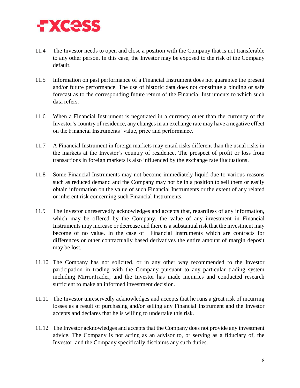

- 11.4 The Investor needs to open and close a position with the Company that is not transferable to any other person. In this case, the Investor may be exposed to the risk of the Company default.
- 11.5 Information on past performance of a Financial Instrument does not guarantee the present and/or future performance. The use of historic data does not constitute a binding or safe forecast as to the corresponding future return of the Financial Instruments to which such data refers.
- 11.6 When a Financial Instrument is negotiated in a currency other than the currency of the Investor's country of residence, any changes in an exchange rate may have a negative effect on the Financial Instruments' value, price and performance.
- 11.7 A Financial Instrument in foreign markets may entail risks different than the usual risks in the markets at the Investor's country of residence. The prospect of profit or loss from transactions in foreign markets is also influenced by the exchange rate fluctuations.
- 11.8 Some Financial Instruments may not become immediately liquid due to various reasons such as reduced demand and the Company may not be in a position to sell them or easily obtain information on the value of such Financial Instruments or the extent of any related or inherent risk concerning such Financial Instruments.
- 11.9 The Investor unreservedly acknowledges and accepts that, regardless of any information, which may be offered by the Company, the value of any investment in Financial Instruments may increase or decrease and there is a substantial risk that the investment may become of no value. In the case of Financial Instruments which are contracts for differences or other contractually based derivatives the entire amount of margin deposit may be lost.
- 11.10 The Company has not solicited, or in any other way recommended to the Investor participation in trading with the Company pursuant to any particular trading system including MirrorTrader, and the Investor has made inquiries and conducted research sufficient to make an informed investment decision.
- 11.11 The Investor unreservedly acknowledges and accepts that he runs a great risk of incurring losses as a result of purchasing and/or selling any Financial Instrument and the Investor accepts and declares that he is willing to undertake this risk.
- 11.12 The Investor acknowledges and accepts that the Company does not provide any investment advice. The Company is not acting as an advisor to, or serving as a fiduciary of, the Investor, and the Company specifically disclaims any such duties.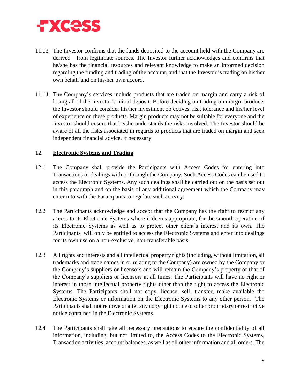

- 11.13 The Investor confirms that the funds deposited to the account held with the Company are derived from legitimate sources. The Investor further acknowledges and confirms that he/she has the financial resources and relevant knowledge to make an informed decision regarding the funding and trading of the account, and that the Investor is trading on his/her own behalf and on his/her own accord.
- 11.14 The Company's services include products that are traded on margin and carry a risk of losing all of the Investor's initial deposit. Before deciding on trading on margin products the Investor should consider his/her investment objectives, risk tolerance and his/her level of experience on these products. Margin products may not be suitable for everyone and the Investor should ensure that he/she understands the risks involved. The Investor should be aware of all the risks associated in regards to products that are traded on margin and seek independent financial advice, if necessary.

#### 12. **Electronic Systems and Trading**

- 12.1 The Company shall provide the Participants with Access Codes for entering into Transactions or dealings with or through the Company. Such Access Codes can be used to access the Electronic Systems. Any such dealings shall be carried out on the basis set out in this paragraph and on the basis of any additional agreement which the Company may enter into with the Participants to regulate such activity.
- 12.2 The Participants acknowledge and accept that the Company has the right to restrict any access to its Electronic Systems where it deems appropriate, for the smooth operation of its Electronic Systems as well as to protect other client's interest and its own. The Participants will only be entitled to access the Electronic Systems and enter into dealings for its own use on a non-exclusive, non-transferable basis.
- 12.3 All rights and interests and all intellectual property rights (including, without limitation, all trademarks and trade names in or relating to the Company) are owned by the Company or the Company's suppliers or licensors and will remain the Company's property or that of the Company's suppliers or licensors at all times. The Participants will have no right or interest in those intellectual property rights other than the right to access the Electronic Systems. The Participants shall not copy, license, sell, transfer, make available the Electronic Systems or information on the Electronic Systems to any other person. The Participants shall not remove or alter any copyright notice or other proprietary or restrictive notice contained in the Electronic Systems.
- 12.4 The Participants shall take all necessary precautions to ensure the confidentiality of all information, including, but not limited to, the Access Codes to the Electronic Systems, Transaction activities, account balances, as well as all other information and all orders. The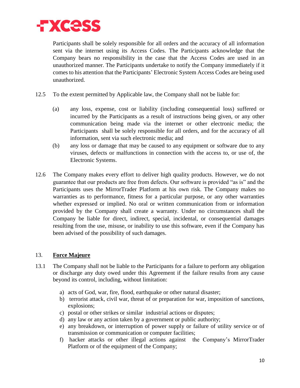

Participants shall be solely responsible for all orders and the accuracy of all information sent via the internet using its Access Codes. The Participants acknowledge that the Company bears no responsibility in the case that the Access Codes are used in an unauthorized manner. The Participants undertake to notify the Company immediately if it comes to his attention that the Participants' Electronic System Access Codes are being used unauthorized.

- 12.5 To the extent permitted by Applicable law, the Company shall not be liable for:
	- (a) any loss, expense, cost or liability (including consequential loss) suffered or incurred by the Participants as a result of instructions being given, or any other communication being made via the internet or other electronic media; the Participants shall be solely responsible for all orders, and for the accuracy of all information, sent via such electronic media; and
	- (b) any loss or damage that may be caused to any equipment or software due to any viruses, defects or malfunctions in connection with the access to, or use of, the Electronic Systems.
- 12.6 The Company makes every effort to deliver high quality products. However, we do not guarantee that our products are free from defects. Our software is provided "as is" and the Participants uses the MirrorTrader Platform at his own risk. The Company makes no warranties as to performance, fitness for a particular purpose, or any other warranties whether expressed or implied. No oral or written communication from or information provided by the Company shall create a warranty. Under no circumstances shall the Company be liable for direct, indirect, special, incidental, or consequential damages resulting from the use, misuse, or inability to use this software, even if the Company has been advised of the possibility of such damages.

#### 13. **Force Majeure**

- 13.1 The Company shall not be liable to the Participants for a failure to perform any obligation or discharge any duty owed under this Agreement if the failure results from any cause beyond its control, including, without limitation:
	- a) acts of God, war, fire, flood, earthquake or other natural disaster;
	- b) terrorist attack, civil war, threat of or preparation for war, imposition of sanctions, explosions;
	- c) postal or other strikes or similar industrial actions or disputes;
	- d) any law or any action taken by a government or public authority;
	- e) any breakdown, or interruption of power supply or failure of utility service or of transmission or communication or computer facilities;
	- f) hacker attacks or other illegal actions against the Company's MirrorTrader Platform or of the equipment of the Company;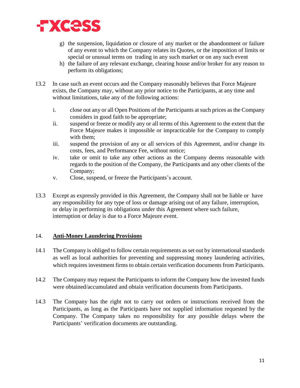

- g) the suspension, liquidation or closure of any market or the abandonment or failure of any event to which the Company relates its Quotes, or the imposition of limits or special or unusual terms on trading in any such market or on any such event
- h) the failure of any relevant exchange, clearing house and/or broker for any reason to perform its obligations;
- 13.2 In case such an event occurs and the Company reasonably believes that Force Majeure exists, the Company may, without any prior notice to the Participants, at any time and without limitations, take any of the following actions:
	- i. close out any or all Open Positions of the Participants at such prices as the Company considers in good faith to be appropriate;
	- ii. suspend or freeze or modify any or all terms of this Agreement to the extent that the Force Majeure makes it impossible or impracticable for the Company to comply with them;
	- iii. suspend the provision of any or all services of this Agreement, and/or change its costs, fees, and Performance Fee, without notice;
	- iv. take or omit to take any other actions as the Company deems reasonable with regards to the position of the Company, the Participants and any other clients of the Company;
	- v. Close, suspend, or freeze the Participants's account.
- 13.3 Except as expressly provided in this Agreement, the Company shall not be liable or have any responsibility for any type of loss or damage arising out of any failure, interruption, or delay in performing its obligations under this Agreement where such failure, interruption or delay is due to a Force Majeure event.

# 14. **Anti-Money Laundering Provisions**

- 14.1 The Company is obliged to follow certain requirements as set out by international standards as well as local authorities for preventing and suppressing money laundering activities, which requires investment firms to obtain certain verification documents from Participants.
- 14.2 The Company may request the Participants to inform the Company how the invested funds were obtained/accumulated and obtain verification documents from Participants.
- 14.3 The Company has the right not to carry out orders or instructions received from the Participants, as long as the Participants have not supplied information requested by the Company. The Company takes no responsibility for any possible delays where the Participants' verification documents are outstanding.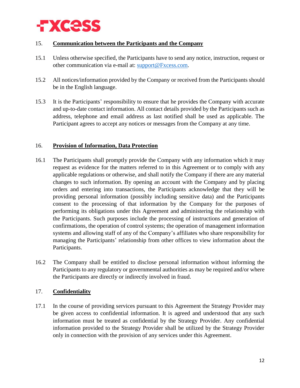

# 15. **Communication between the Participants and the Company**

- 15.1 Unless otherwise specified, the Participants have to send any notice, instruction, request or other communication via e-mail at: [support@Fxcess.com.](mailto:support@fxcess.com)
- 15.2 All notices/information provided by the Company or received from the Participants should be in the English language.
- 15.3 It is the Participants' responsibility to ensure that he provides the Company with accurate and up-to-date contact information. All contact details provided by the Participants such as address, telephone and email address as last notified shall be used as applicable. The Participant agrees to accept any notices or messages from the Company at any time.

#### 16. **Provision of Information, Data Protection**

- 16.1 The Participants shall promptly provide the Company with any information which it may request as evidence for the matters referred to in this Agreement or to comply with any applicable regulations or otherwise, and shall notify the Company if there are any material changes to such information. By opening an account with the Company and by placing orders and entering into transactions, the Participants acknowledge that they will be providing personal information (possibly including sensitive data) and the Participants consent to the processing of that information by the Company for the purposes of performing its obligations under this Agreement and administering the relationship with the Participants. Such purposes include the processing of instructions and generation of confirmations, the operation of control systems; the operation of management information systems and allowing staff of any of the Company's affiliates who share responsibility for managing the Participants' relationship from other offices to view information about the Participants.
- 16.2 The Company shall be entitled to disclose personal information without informing the Participants to any regulatory or governmental authorities as may be required and/or where the Participants are directly or indirectly involved in fraud.

# 17. **Confidentiality**

17.1 In the course of providing services pursuant to this Agreement the Strategy Provider may be given access to confidential information. It is agreed and understood that any such information must be treated as confidential by the Strategy Provider. Any confidential information provided to the Strategy Provider shall be utilized by the Strategy Provider only in connection with the provision of any services under this Agreement.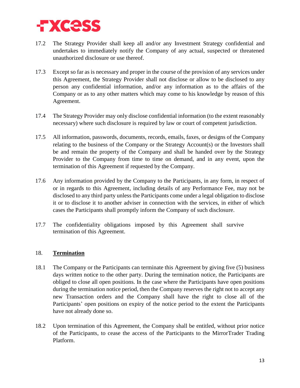

- 17.2 The Strategy Provider shall keep all and/or any Investment Strategy confidential and undertakes to immediately notify the Company of any actual, suspected or threatened unauthorized disclosure or use thereof.
- 17.3 Except so far as is necessary and proper in the course of the provision of any services under this Agreement, the Strategy Provider shall not disclose or allow to be disclosed to any person any confidential information, and/or any information as to the affairs of the Company or as to any other matters which may come to his knowledge by reason of this Agreement.
- 17.4 The Strategy Provider may only disclose confidential information (to the extent reasonably necessary) where such disclosure is required by law or court of competent jurisdiction.
- 17.5 All information, passwords, documents, records, emails, faxes, or designs of the Company relating to the business of the Company or the Strategy Account(s) or the Investors shall be and remain the property of the Company and shall be handed over by the Strategy Provider to the Company from time to time on demand, and in any event, upon the termination of this Agreement if requested by the Company.
- 17.6 Any information provided by the Company to the Participants, in any form, in respect of or in regards to this Agreement, including details of any Performance Fee, may not be disclosed to any third party unless the Participants come under a legal obligation to disclose it or to disclose it to another adviser in connection with the services, in either of which cases the Participants shall promptly inform the Company of such disclosure.
- 17.7 The confidentiality obligations imposed by this Agreement shall survive termination of this Agreement.

# <span id="page-13-0"></span>18. **Termination**

- 18.1 The Company or the Participants can terminate this Agreement by giving five (5) business days written notice to the other party. During the termination notice, the Participants are obliged to close all open positions. In the case where the Participants have open positions during the termination notice period, then the Company reserves the right not to accept any new Transaction orders and the Company shall have the right to close all of the Participants' open positions on expiry of the notice period to the extent the Participants have not already done so.
- 18.2 Upon termination of this Agreement, the Company shall be entitled, without prior notice of the Participants, to cease the access of the Participants to the MirrorTrader Trading Platform.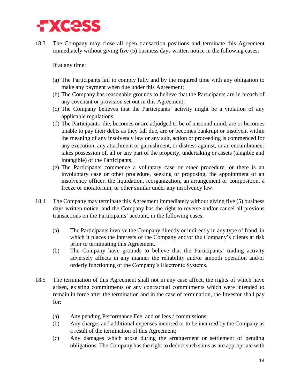

18.3 The Company may close all open transaction positions and terminate this Agreement immediately without giving five (5) business days written notice in the following cases:

If at any time:

- (a) The Participants fail to comply fully and by the required time with any obligation to make any payment when due under this Agreement;
- (b) The Company has reasonable grounds to believe that the Participants are in breach of any covenant or provision set out in this Agreement;
- (c) The Company believes that the Participants' activity might be a violation of any applicable regulations;
- (d) The Participants die, becomes or are adjudged to be of unsound mind, are or becomes unable to pay their debts as they fall due, are or becomes bankrupt or insolvent within the meaning of any insolvency law or any suit, action or proceeding is commenced for any execution, any attachment or garnishment, or distress against, or an encumbrancer takes possession of, all or any part of the property, undertaking or assets (tangible and intangible) of the Participants;
- (e) The Participants commence a voluntary case or other procedure, or there is an involuntary case or other procedure, seeking or proposing, the appointment of an insolvency officer, the liquidation, reorganization, an arrangement or composition, a freeze or moratorium, or other similar under any insolvency law.
- 18.4 The Company may terminate this Agreement immediately without giving five (5) business days written notice, and the Company has the right to reverse and/or cancel all previous transactions on the Participants' account, in the following cases:
	- (a) The Participants involve the Company directly or indirectly in any type of fraud, in which it places the interests of the Company and/or the Company's clients at risk prior to terminating this Agreement.
	- (b) The Company have grounds to believe that the Participants' trading activity adversely affects in any manner the reliability and/or smooth operation and/or orderly functioning of the Company's Electronic Systems.
- 18.5 The termination of this Agreement shall not in any case affect, the rights of which have arisen, existing commitments or any contractual commitments which were intended to remain in force after the termination and in the case of termination, the Investor shall pay for:
	- (a) Any pending Performance Fee, and or fees / commissions;
	- (b) Any charges and additional expenses incurred or to be incurred by the Company as a result of the termination of this Agreement;
	- (c) Any damages which arose during the arrangement or settlement of pending obligations. The Company has the right to deduct such sums as are appropriate with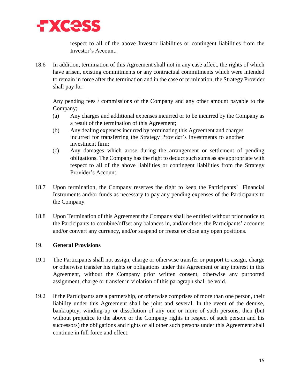

respect to all of the above Investor liabilities or contingent liabilities from the Investor's Account.

18.6 In addition, termination of this Agreement shall not in any case affect, the rights of which have arisen, existing commitments or any contractual commitments which were intended to remain in force after the termination and in the case of termination, the Strategy Provider shall pay for:

Any pending fees / commissions of the Company and any other amount payable to the Company;

- (a) Any charges and additional expenses incurred or to be incurred by the Company as a result of the termination of this Agreement;
- (b) Any dealing expenses incurred by terminating this Agreement and charges incurred for transferring the Strategy Provider's investments to another investment firm;
- (c) Any damages which arose during the arrangement or settlement of pending obligations. The Company has the right to deduct such sums as are appropriate with respect to all of the above liabilities or contingent liabilities from the Strategy Provider's Account.
- 18.7 Upon termination, the Company reserves the right to keep the Participants' Financial Instruments and/or funds as necessary to pay any pending expenses of the Participants to the Company.
- 18.8 Upon Termination of this Agreement the Company shall be entitled without prior notice to the Participants to combine/offset any balances in, and/or close, the Participants' accounts and/or convert any currency, and/or suspend or freeze or close any open positions.

# 19. **General Provisions**

- 19.1 The Participants shall not assign, charge or otherwise transfer or purport to assign, charge or otherwise transfer his rights or obligations under this Agreement or any interest in this Agreement, without the Company prior written consent, otherwise any purported assignment, charge or transfer in violation of this paragraph shall be void.
- 19.2 If the Participants are a partnership, or otherwise comprises of more than one person, their liability under this Agreement shall be joint and several. In the event of the demise, bankruptcy, winding-up or dissolution of any one or more of such persons, then (but without prejudice to the above or the Company rights in respect of such person and his successors) the obligations and rights of all other such persons under this Agreement shall continue in full force and effect.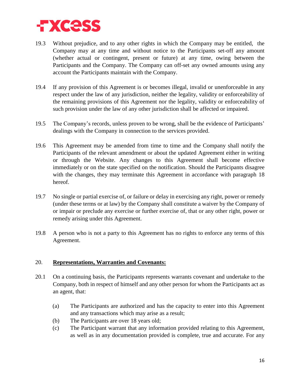

- 19.3 Without prejudice, and to any other rights in which the Company may be entitled, the Company may at any time and without notice to the Participants set-off any amount (whether actual or contingent, present or future) at any time, owing between the Participants and the Company. The Company can off-set any owned amounts using any account the Participants maintain with the Company.
- 19.4 If any provision of this Agreement is or becomes illegal, invalid or unenforceable in any respect under the law of any jurisdiction, neither the legality, validity or enforceability of the remaining provisions of this Agreement nor the legality, validity or enforceability of such provision under the law of any other jurisdiction shall be affected or impaired.
- 19.5 The Company's records, unless proven to be wrong, shall be the evidence of Participants' dealings with the Company in connection to the services provided.
- 19.6 This Agreement may be amended from time to time and the Company shall notify the Participants of the relevant amendment or about the updated Agreement either in writing or through the Website. Any changes to this Agreement shall become effective immediately or on the state specified on the notification. Should the Participants disagree with the changes, they may terminate this Agreement in accordance with paragraph [18](#page-13-0) hereof.
- 19.7 No single or partial exercise of, or failure or delay in exercising any right, power or remedy (under these terms or at law) by the Company shall constitute a waiver by the Company of or impair or preclude any exercise or further exercise of, that or any other right, power or remedy arising under this Agreement.
- 19.8 A person who is not a party to this Agreement has no rights to enforce any terms of this Agreement.

#### 20. **Representations, Warranties and Covenants:**

- 20.1 On a continuing basis, the Participants represents warrants covenant and undertake to the Company, both in respect of himself and any other person for whom the Participants act as an agent, that:
	- (a) The Participants are authorized and has the capacity to enter into this Agreement and any transactions which may arise as a result;
	- (b) The Participants are over 18 years old;
	- (c) The Participant warrant that any information provided relating to this Agreement, as well as in any documentation provided is complete, true and accurate. For any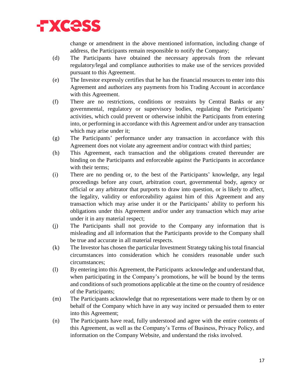

change or amendment in the above mentioned information, including change of address, the Participants remain responsible to notify the Company;

- (d) The Participants have obtained the necessary approvals from the relevant regulatory/legal and compliance authorities to make use of the services provided pursuant to this Agreement.
- (e) The Investor expressly certifies that he has the financial resources to enter into this Agreement and authorizes any payments from his Trading Account in accordance with this Agreement.
- (f) There are no restrictions, conditions or restraints by Central Banks or any governmental, regulatory or supervisory bodies, regulating the Participants' activities, which could prevent or otherwise inhibit the Participants from entering into, or performing in accordance with this Agreement and/or under any transaction which may arise under it;
- (g) The Participants' performance under any transaction in accordance with this Agreement does not violate any agreement and/or contract with third parties;
- (h) This Agreement, each transaction and the obligations created thereunder are binding on the Participants and enforceable against the Participants in accordance with their terms;
- (i) There are no pending or, to the best of the Participants' knowledge, any legal proceedings before any court, arbitration court, governmental body, agency or official or any arbitrator that purports to draw into question, or is likely to affect, the legality, validity or enforceability against him of this Agreement and any transaction which may arise under it or the Participants' ability to perform his obligations under this Agreement and/or under any transaction which may arise under it in any material respect;
- (j) The Participants shall not provide to the Company any information that is misleading and all information that the Participants provide to the Company shall be true and accurate in all material respects.
- (k) The Investor has chosen the particular Investment Strategy taking his total financial circumstances into consideration which he considers reasonable under such circumstances;
- (l) By entering into this Agreement, the Participants acknowledge and understand that, when participating in the Company's promotions, he will be bound by the terms and conditions of such promotions applicable at the time on the country of residence of the Participants;
- (m) The Participants acknowledge that no representations were made to them by or on behalf of the Company which have in any way incited or persuaded them to enter into this Agreement;
- (n) The Participants have read, fully understood and agree with the entire contents of this Agreement, as well as the Company's Terms of Business, Privacy Policy, and information on the Company Website, and understand the risks involved.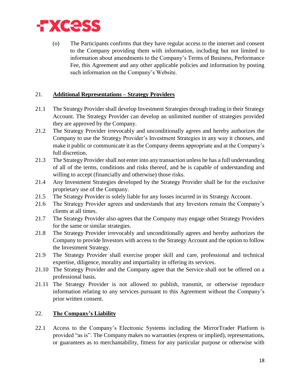

(o) The Participants confirms that they have regular access to the internet and consent to the Company providing them with information, including but not limited to information about amendments to the Company's Terms of Business, Performance Fee, this Agreement and any other applicable policies and information by posting such information on the Company's Website.

# 21. **Additional Representations – Strategy Providers**

- 21.1 The Strategy Provider shall develop Investment Strategies through trading in their Strategy Account. The Strategy Provider can develop an unlimited number of strategies provided they are approved by the Company.
- 21.2 The Strategy Provider irrevocably and unconditionally agrees and hereby authorizes the Company to use the Strategy Provider's Investment Strategies in any way it chooses, and make it public or communicate it as the Company deems appropriate and at the Company's full discretion.
- 21.3 The Strategy Provider shall not enter into any transaction unless he has a full understanding of all of the terms, conditions and risks thereof, and he is capable of understanding and willing to accept (financially and otherwise) those risks.
- 21.4 Any Investment Strategies developed by the Strategy Provider shall be for the exclusive proprietary use of the Company.
- 21.5 The Strategy Provider is solely liable for any losses incurred in its Strategy Account.
- 21.6 The Strategy Provider agrees and understands that any Investors remain the Company's clients at all times.
- 21.7 The Strategy Provider also agrees that the Company may engage other Strategy Providers for the same or similar strategies.
- 21.8 The Strategy Provider irrevocably and unconditionally agrees and hereby authorizes the Company to provide Investors with access to the Strategy Account and the option to follow the Investment Strategy.
- 21.9 The Strategy Provider shall exercise proper skill and care, professional and technical expertise, diligence, morality and impartiality in offering its services.
- 21.10 The Strategy Provider and the Company agree that the Service shall not be offered on a professional basis.
- 21.11 The Strategy Provider is not allowed to publish, transmit, or otherwise reproduce information relating to any services pursuant to this Agreement without the Company's prior written consent.

#### 22. **The Company's Liability**

22.1 Access to the Company's Electronic Systems including the MirrorTrader Platform is provided "as is". The Company makes no warranties (express or implied), representations, or guarantees as to merchantability, fitness for any particular purpose or otherwise with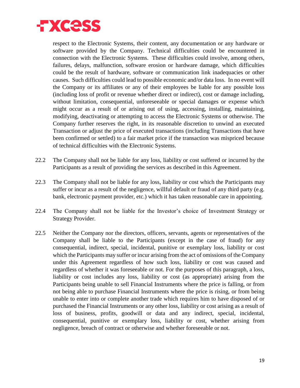

respect to the Electronic Systems, their content, any documentation or any hardware or software provided by the Company. Technical difficulties could be encountered in connection with the Electronic Systems. These difficulties could involve, among others, failures, delays, malfunction, software erosion or hardware damage, which difficulties could be the result of hardware, software or communication link inadequacies or other causes. Such difficulties could lead to possible economic and/or data loss. In no event will the Company or its affiliates or any of their employees be liable for any possible loss (including loss of profit or revenue whether direct or indirect), cost or damage including, without limitation, consequential, unforeseeable or special damages or expense which might occur as a result of or arising out of using, accessing, installing, maintaining, modifying, deactivating or attempting to access the Electronic Systems or otherwise. The Company further reserves the right, in its reasonable discretion to unwind an executed Transaction or adjust the price of executed transactions (including Transactions that have been confirmed or settled) to a fair market price if the transaction was mispriced because of technical difficulties with the Electronic Systems.

- 22.2 The Company shall not be liable for any loss, liability or cost suffered or incurred by the Participants as a result of providing the services as described in this Agreement.
- 22.3 The Company shall not be liable for any loss, liability or cost which the Participants may suffer or incur as a result of the negligence, willful default or fraud of any third party (e.g. bank, electronic payment provider, etc.) which it has taken reasonable care in appointing.
- 22.4 The Company shall not be liable for the Investor's choice of Investment Strategy or Strategy Provider.
- 22.5 Neither the Company nor the directors, officers, servants, agents or representatives of the Company shall be liable to the Participants (except in the case of fraud) for any consequential, indirect, special, incidental, punitive or exemplary loss, liability or cost which the Participants may suffer or incur arising from the act of omissions of the Company under this Agreement regardless of how such loss, liability or cost was caused and regardless of whether it was foreseeable or not. For the purposes of this paragraph, a loss, liability or cost includes any loss, liability or cost (as appropriate) arising from the Participants being unable to sell Financial Instruments where the price is falling, or from not being able to purchase Financial Instruments where the price is rising, or from being unable to enter into or complete another trade which requires him to have disposed of or purchased the Financial Instruments or any other loss, liability or cost arising as a result of loss of business, profits, goodwill or data and any indirect, special, incidental, consequential, punitive or exemplary loss, liability or cost, whether arising from negligence, breach of contract or otherwise and whether foreseeable or not.